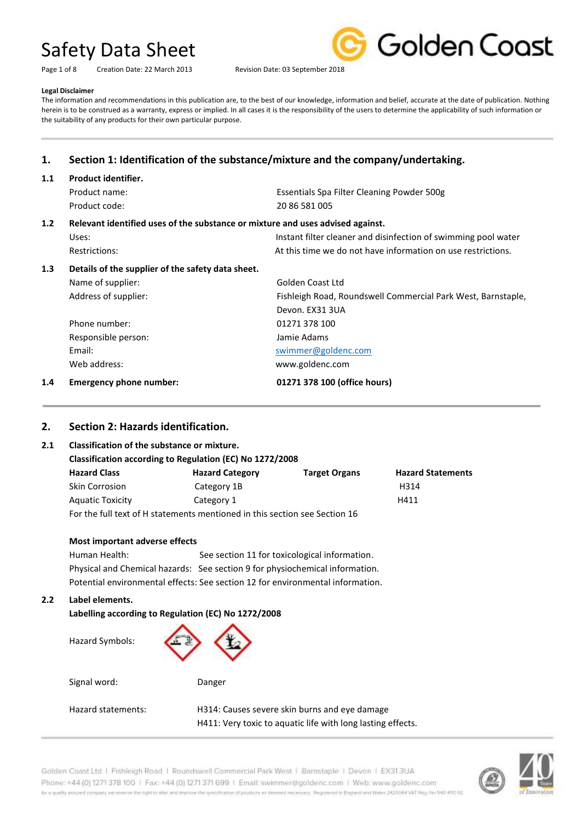Page 1 of 8 Creation Date: 22 March 2013 Revision Date: 03 September 2018



#### **Legal Disclaimer**

The information and recommendations in this publication are, to the best of our knowledge, information and belief, accurate at the date of publication. Nothing herein is to be construed as a warranty, express or implied. In all cases it is the responsibility of the users to determine the applicability of such information or the suitability of any products for their own particular purpose.

# **1. Section 1: Identification of the substance/mixture and the company/undertaking.**

| 1.1                                                                                   | Product identifier.                               |                                                                |
|---------------------------------------------------------------------------------------|---------------------------------------------------|----------------------------------------------------------------|
|                                                                                       | Product name:                                     | Essentials Spa Filter Cleaning Powder 500g                     |
|                                                                                       | Product code:                                     | 20 86 581 005                                                  |
| Relevant identified uses of the substance or mixture and uses advised against.<br>1.2 |                                                   |                                                                |
|                                                                                       | Uses:                                             | Instant filter cleaner and disinfection of swimming pool water |
|                                                                                       | Restrictions:                                     | At this time we do not have information on use restrictions.   |
| 1.3                                                                                   | Details of the supplier of the safety data sheet. |                                                                |
|                                                                                       | Name of supplier:                                 | Golden Coast Ltd                                               |
|                                                                                       | Address of supplier:                              | Fishleigh Road, Roundswell Commercial Park West, Barnstaple,   |
|                                                                                       |                                                   | Devon. EX31 3UA                                                |
|                                                                                       | Phone number:                                     | 01271 378 100                                                  |
|                                                                                       | Responsible person:                               | Jamie Adams                                                    |
|                                                                                       | Email:                                            | swimmer@goldenc.com                                            |
|                                                                                       | Web address:                                      | www.goldenc.com                                                |
| 1.4                                                                                   | <b>Emergency phone number:</b>                    | 01271 378 100 (office hours)                                   |

### **2. Section 2: Hazards identification.**

### **2.1 Classification of the substance or mixture.**

| Classification according to Regulation (EC) No 1272/2008                   |                        |                      |                          |  |
|----------------------------------------------------------------------------|------------------------|----------------------|--------------------------|--|
| <b>Hazard Class</b>                                                        | <b>Hazard Category</b> | <b>Target Organs</b> | <b>Hazard Statements</b> |  |
| <b>Skin Corrosion</b>                                                      | Category 1B            |                      | H314                     |  |
| <b>Aquatic Toxicity</b>                                                    | Category 1             |                      | H411                     |  |
| For the full text of H statements mentioned in this section see Section 16 |                        |                      |                          |  |

#### **Most important adverse effects**

Human Health: See section 11 for toxicological information. Physical and Chemical hazards: See section 9 for physiochemical information. Potential environmental effects: See section 12 for environmental information.

#### **2.2 Label elements.**

#### **Labelling according to Regulation (EC) No 1272/2008**

Hazard Symbols:



Signal word: Danger

Hazard statements: H314: Causes severe skin burns and eye damage H411: Very toxic to aquatic life with long lasting effects.

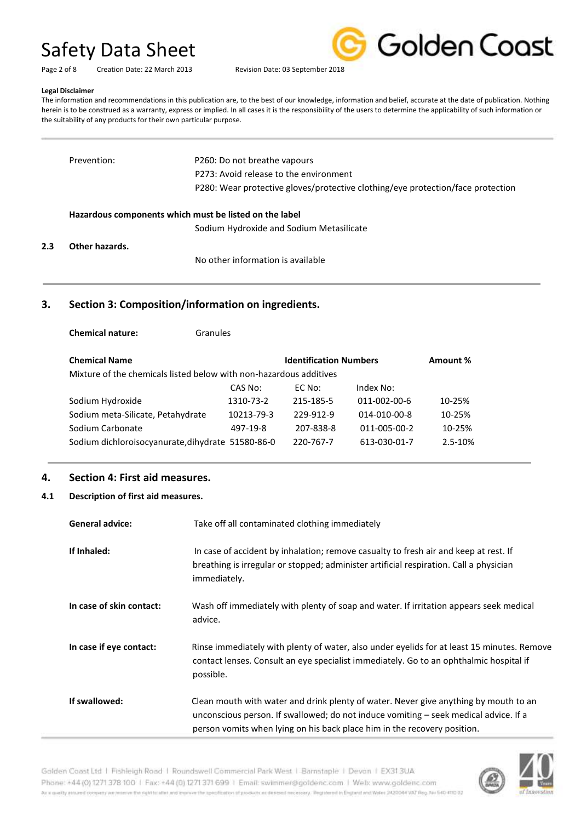| Golden Coast |
|--------------|
|              |

Page 2 of 8 Creation Date: 22 March 2013 Revision Date: 03 September 2018

#### **Legal Disclaimer**

The information and recommendations in this publication are, to the best of our knowledge, information and belief, accurate at the date of publication. Nothing herein is to be construed as a warranty, express or implied. In all cases it is the responsibility of the users to determine the applicability of such information or the suitability of any products for their own particular purpose.

| Prevention:    | P260: Do not breathe vapours                                                    |
|----------------|---------------------------------------------------------------------------------|
|                | P273: Avoid release to the environment                                          |
|                | P280: Wear protective gloves/protective clothing/eye protection/face protection |
|                |                                                                                 |
|                | Hazardous components which must be listed on the label                          |
|                | Sodium Hydroxide and Sodium Metasilicate                                        |
| Other hazards. |                                                                                 |
|                | No other information is available                                               |

## **3. Section 3: Composition/information on ingredients.**

**Chemical nature:** Granules

| <b>Chemical Name</b>                                               |            | <b>Identification Numbers</b> |              | Amount % |
|--------------------------------------------------------------------|------------|-------------------------------|--------------|----------|
| Mixture of the chemicals listed below with non-hazardous additives |            |                               |              |          |
|                                                                    | CAS No:    | EC No:                        | Index No:    |          |
| Sodium Hydroxide                                                   | 1310-73-2  | 215-185-5                     | 011-002-00-6 | 10-25%   |
| Sodium meta-Silicate, Petahydrate                                  | 10213-79-3 | 229-912-9                     | 014-010-00-8 | 10-25%   |
| Sodium Carbonate                                                   | 497-19-8   | 207-838-8                     | 011-005-00-2 | 10-25%   |
| Sodium dichloroisocyanurate, dihydrate 51580-86-0                  |            | 220-767-7                     | 613-030-01-7 | 2.5-10%  |

## **4. Section 4: First aid measures.**

#### **4.1 Description of first aid measures.**

| <b>General advice:</b>   | Take off all contaminated clothing immediately                                                                                                                                                                                                           |
|--------------------------|----------------------------------------------------------------------------------------------------------------------------------------------------------------------------------------------------------------------------------------------------------|
| If Inhaled:              | In case of accident by inhalation; remove casualty to fresh air and keep at rest. If<br>breathing is irregular or stopped; administer artificial respiration. Call a physician<br>immediately.                                                           |
| In case of skin contact: | Wash off immediately with plenty of soap and water. If irritation appears seek medical<br>advice.                                                                                                                                                        |
| In case if eye contact:  | Rinse immediately with plenty of water, also under eyelids for at least 15 minutes. Remove<br>contact lenses. Consult an eye specialist immediately. Go to an ophthalmic hospital if<br>possible.                                                        |
| If swallowed:            | Clean mouth with water and drink plenty of water. Never give anything by mouth to an<br>unconscious person. If swallowed; do not induce vomiting - seek medical advice. If a<br>person vomits when lying on his back place him in the recovery position. |

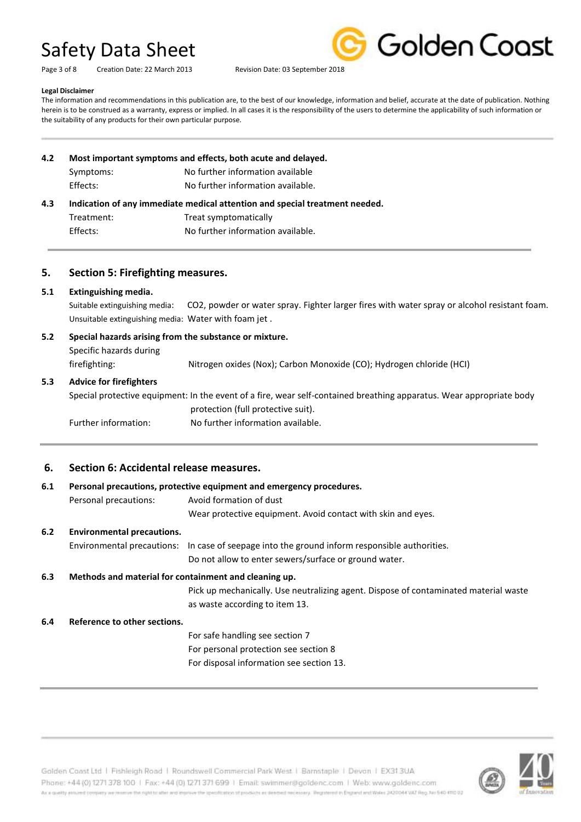Page 3 of 8 Creation Date: 22 March 2013 Revision Date: 03 September 2018



#### **Legal Disclaimer**

The information and recommendations in this publication are, to the best of our knowledge, information and belief, accurate at the date of publication. Nothing herein is to be construed as a warranty, express or implied. In all cases it is the responsibility of the users to determine the applicability of such information or the suitability of any products for their own particular purpose.

**4.2 Most important symptoms and effects, both acute and delayed.** Symptoms: No further information available Effects: No further information available. **4.3 Indication of any immediate medical attention and special treatment needed.** Treatment: Treat symptomatically Effects: No further information available.

#### **5. Section 5: Firefighting measures.**

#### **5.1 Extinguishing media.**

Suitable extinguishing media: CO2, powder or water spray. Fighter larger fires with water spray or alcohol resistant foam. Unsuitable extinguishing media: Water with foam jet .

## **5.2 Special hazards arising from the substance or mixture.**

Specific hazards during firefighting: Nitrogen oxides (Nox); Carbon Monoxide (CO); Hydrogen chloride (HCI)

#### **5.3 Advice for firefighters**

Special protective equipment: In the event of a fire, wear self-contained breathing apparatus. Wear appropriate body protection (full protective suit). Further information: No further information available.

### **6. Section 6: Accidental release measures.**

# **6.1 Personal precautions, protective equipment and emergency procedures.** Personal precautions: Avoid formation of dust Wear protective equipment. Avoid contact with skin and eyes. **6.2 Environmental precautions.** Environmental precautions: In case of seepage into the ground inform responsible authorities. Do not allow to enter sewers/surface or ground water. **6.3 Methods and material for containment and cleaning up.** Pick up mechanically. Use neutralizing agent. Dispose of contaminated material waste as waste according to item 13. **6.4 Reference to other sections.** For safe handling see section 7 For personal protection see section 8 For disposal information see section 13.



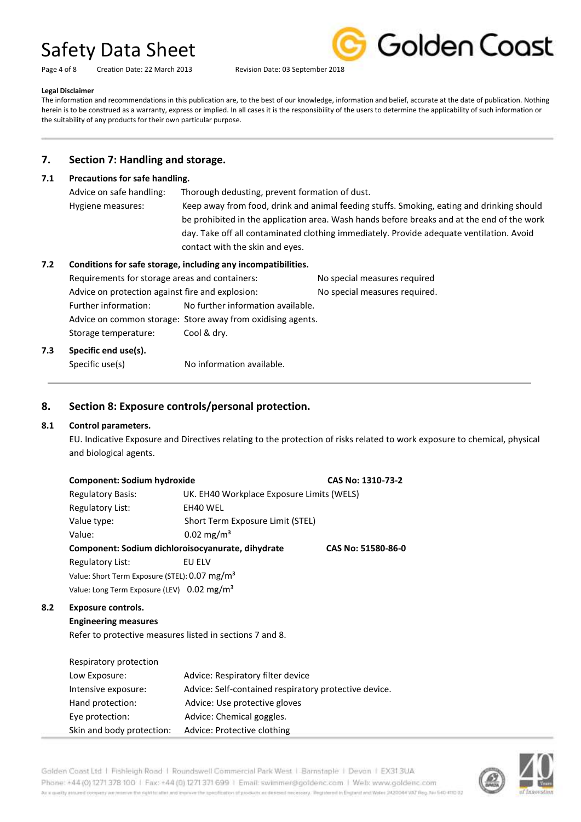Page 4 of 8 Creation Date: 22 March 2013 Revision Date: 03 September 2018



#### **Legal Disclaimer**

The information and recommendations in this publication are, to the best of our knowledge, information and belief, accurate at the date of publication. Nothing herein is to be construed as a warranty, express or implied. In all cases it is the responsibility of the users to determine the applicability of such information or the suitability of any products for their own particular purpose.

## **7. Section 7: Handling and storage.**

#### **7.1 Precautions for safe handling.**

| Advice on safe handling: | Thorough dedusting, prevent formation of dust.                                             |
|--------------------------|--------------------------------------------------------------------------------------------|
| Hygiene measures:        | Keep away from food, drink and animal feeding stuffs. Smoking, eating and drinking should  |
|                          | be prohibited in the application area. Wash hands before breaks and at the end of the work |
|                          | day. Take off all contaminated clothing immediately. Provide adequate ventilation. Avoid   |
|                          | contact with the skin and eyes.                                                            |
|                          | Conditions for safe storage, including any incompatibilities.                              |

#### **7.2 Conditions for safe storage, including any incompatibilities.**

| Requirements for storage areas and containers:   |                      |                                                             | No special measures required |
|--------------------------------------------------|----------------------|-------------------------------------------------------------|------------------------------|
| Advice on protection against fire and explosion: |                      | No special measures required.                               |                              |
|                                                  | Further information: | No further information available.                           |                              |
|                                                  |                      | Advice on common storage: Store away from oxidising agents. |                              |
|                                                  | Storage temperature: | Cool & dry.                                                 |                              |
|                                                  |                      |                                                             |                              |

### **7.3 Specific end use(s).**

Specific use(s) No information available.

## **8. Section 8: Exposure controls/personal protection.**

### **8.1 Control parameters.**

EU. Indicative Exposure and Directives relating to the protection of risks related to work exposure to chemical, physical and biological agents.

| <b>Component: Sodium hydroxide</b> |                                                   | CAS No: 1310-73-2  |  |
|------------------------------------|---------------------------------------------------|--------------------|--|
| <b>Regulatory Basis:</b>           | UK. EH40 Workplace Exposure Limits (WELS)         |                    |  |
| Regulatory List:                   | EH40 WEL                                          |                    |  |
| Value type:                        | Short Term Exposure Limit (STEL)                  |                    |  |
| Value:                             | $0.02 \,\mathrm{mg/m^3}$                          |                    |  |
|                                    | Component: Sodium dichloroisocyanurate, dihydrate | CAS No: 51580-86-0 |  |
| Regulatory List:                   | EU ELV                                            |                    |  |

Value: Short Term Exposure (STEL): 0.07 mg/m<sup>3</sup> Value: Long Term Exposure (LEV) 0.02 mg/m<sup>3</sup>

### **8.2 Exposure controls.**

#### **Engineering measures**

Refer to protective measures listed in sections 7 and 8.

| Respiratory protection    |                                                       |
|---------------------------|-------------------------------------------------------|
| Low Exposure:             | Advice: Respiratory filter device                     |
| Intensive exposure:       | Advice: Self-contained respiratory protective device. |
| Hand protection:          | Advice: Use protective gloves                         |
| Eye protection:           | Advice: Chemical goggles.                             |
| Skin and body protection: | Advice: Protective clothing                           |

#### Golden Coast Ltd | Fishleigh Road | Roundswell Commercial Park West | Barnstaple | Devon | EX313UA Phone: +44 (0) 1271 378 100 | Fax: +44 (0) 1271 371 699 | Email: swimmer@goldenc.com | Web: www.goldenc.com As a quality entured company we reserve the right to aller and exposure the specification of products as determinated and as any illegatement in England and Wales (AQDO44 VAT Reg. Just 540-410 D2

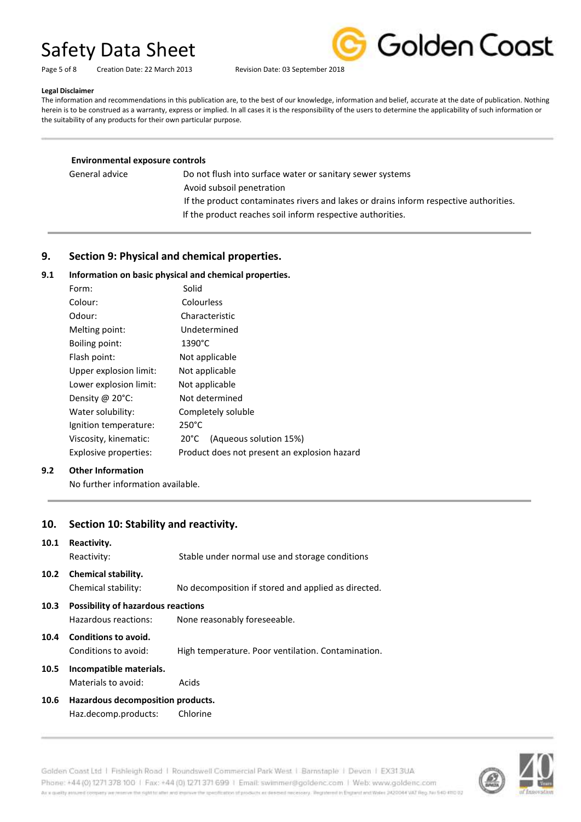

Page 5 of 8 Creation Date: 22 March 2013 Revision Date: 03 September 2018

#### **Legal Disclaimer**

The information and recommendations in this publication are, to the best of our knowledge, information and belief, accurate at the date of publication. Nothing herein is to be construed as a warranty, express or implied. In all cases it is the responsibility of the users to determine the applicability of such information or the suitability of any products for their own particular purpose.

| <b>Environmental exposure controls</b> |                                                                                       |
|----------------------------------------|---------------------------------------------------------------------------------------|
| General advice                         | Do not flush into surface water or sanitary sewer systems                             |
|                                        | Avoid subsoil penetration                                                             |
|                                        | If the product contaminates rivers and lakes or drains inform respective authorities. |
|                                        | If the product reaches soil inform respective authorities.                            |

## **9. Section 9: Physical and chemical properties.**

### **9.1 Information on basic physical and chemical properties.**

| Form:                     | Solid                                        |
|---------------------------|----------------------------------------------|
| Colour:                   | Colourless                                   |
| Odour:                    | Characteristic                               |
| Melting point:            | Undetermined                                 |
| Boiling point:            | 1390°C                                       |
| Flash point:              | Not applicable                               |
| Upper explosion limit:    | Not applicable                               |
| Lower explosion limit:    | Not applicable                               |
| Density @ $20^{\circ}$ C: | Not determined                               |
| Water solubility:         | Completely soluble                           |
| Ignition temperature:     | $250^{\circ}$ C                              |
| Viscosity, kinematic:     | (Aqueous solution 15%)<br>20°C               |
| Explosive properties:     | Product does not present an explosion hazard |
|                           |                                              |

#### **9.2 Other Information**

No further information available.

### **10. Section 10: Stability and reactivity.**

| 10.1 | Reactivity.<br>Reactivity:                                                                        | Stable under normal use and storage conditions      |  |
|------|---------------------------------------------------------------------------------------------------|-----------------------------------------------------|--|
|      | 10.2 Chemical stability.<br>Chemical stability:                                                   | No decomposition if stored and applied as directed. |  |
| 10.3 | <b>Possibility of hazardous reactions</b><br>Hazardous reactions:<br>None reasonably foreseeable. |                                                     |  |
| 10.4 | <b>Conditions to avoid.</b><br>Conditions to avoid:                                               | High temperature. Poor ventilation. Contamination.  |  |
|      | 10.5 Incompatible materials.                                                                      |                                                     |  |

# **10.5 Incompatible materials.**

Materials to avoid: Acids

#### **10.6 Hazardous decomposition products.** Haz.decomp.products: Chlorine

Golden Coast Ltd | Fishleigh Road | Roundswell Commercial Park West | Barnstaple | Devon | EX313UA Phone: +44 (0) 1271 378 100 | Fax: +44 (0) 1271 371 699 | Email: swimmer@goldenc.com | Web: www.goldenc.com As a quality assumed company we reserve the right to aller and impose the specification of products as deeded receivery. Registered in Engines and Wales 2420044 VAT Reg. Aut 540-410-02

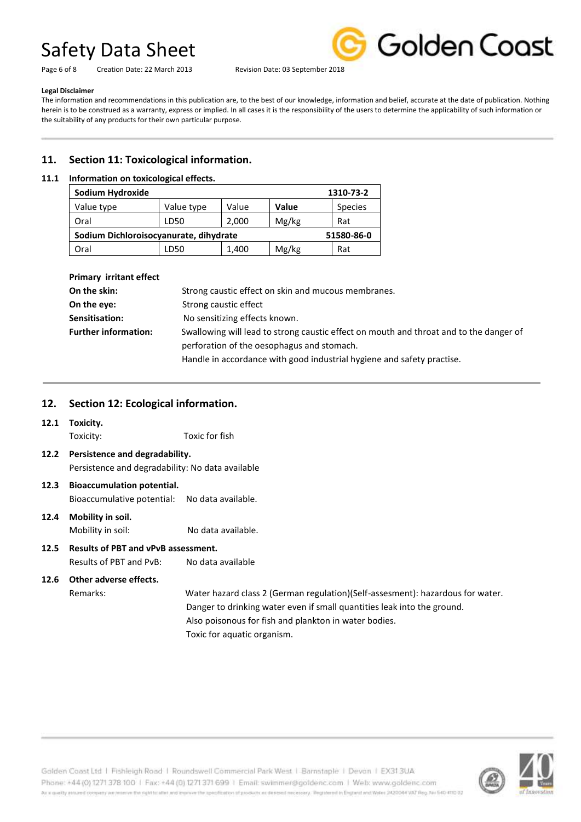Page 6 of 8 Creation Date: 22 March 2013 Revision Date: 03 September 2018



#### **Legal Disclaimer**

The information and recommendations in this publication are, to the best of our knowledge, information and belief, accurate at the date of publication. Nothing herein is to be construed as a warranty, express or implied. In all cases it is the responsibility of the users to determine the applicability of such information or the suitability of any products for their own particular purpose.

# **11. Section 11: Toxicological information.**

#### **11.1 Information on toxicological effects.**

| Sodium Hydroxide                                     |            | 1310-73-2 |       |                |  |  |
|------------------------------------------------------|------------|-----------|-------|----------------|--|--|
| Value type                                           | Value type | Value     | Value | <b>Species</b> |  |  |
| Oral                                                 | LD50       | 2,000     | Mg/kg | Rat            |  |  |
| Sodium Dichloroisocyanurate, dihydrate<br>51580-86-0 |            |           |       |                |  |  |
| Oral                                                 | LD50       | 1,400     | Mg/kg | Rat            |  |  |

| <b>Primary irritant effect</b> |                                                                                        |  |
|--------------------------------|----------------------------------------------------------------------------------------|--|
| On the skin:                   | Strong caustic effect on skin and mucous membranes.                                    |  |
| On the eye:                    | Strong caustic effect                                                                  |  |
| Sensitisation:                 | No sensitizing effects known.                                                          |  |
| <b>Further information:</b>    | Swallowing will lead to strong caustic effect on mouth and throat and to the danger of |  |
|                                | perforation of the oesophagus and stomach.                                             |  |
|                                | Handle in accordance with good industrial hygiene and safety practise.                 |  |

## **12. Section 12: Ecological information.**

#### **12.1 Toxicity.**

Toxicity: Toxic for fish

- **12.2 Persistence and degradability.** Persistence and degradability: No data available
- **12.3 Bioaccumulation potential.** Bioaccumulative potential: No data available.
- **12.4 Mobility in soil.** Mobility in soil: No data available.
- **12.5 Results of PBT and vPvB assessment.** Results of PBT and PvB: No data available

# **12.6 Other adverse effects.**

Remarks: Water hazard class 2 (German regulation)(Self-assesment): hazardous for water. Danger to drinking water even if small quantities leak into the ground. Also poisonous for fish and plankton in water bodies. Toxic for aquatic organism.

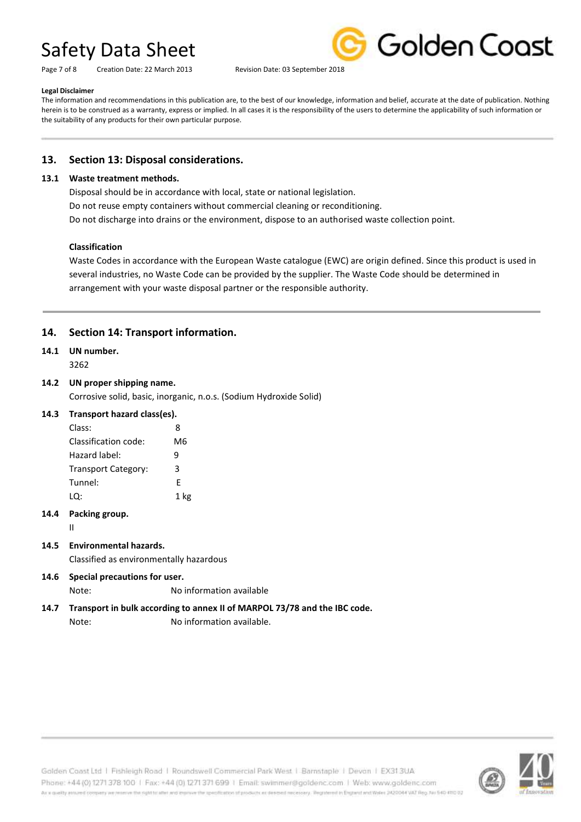Page 7 of 8 Creation Date: 22 March 2013 Revision Date: 03 September 2018



#### **Legal Disclaimer**

The information and recommendations in this publication are, to the best of our knowledge, information and belief, accurate at the date of publication. Nothing herein is to be construed as a warranty, express or implied. In all cases it is the responsibility of the users to determine the applicability of such information or the suitability of any products for their own particular purpose.

# **13. Section 13: Disposal considerations.**

#### **13.1 Waste treatment methods.**

Disposal should be in accordance with local, state or national legislation. Do not reuse empty containers without commercial cleaning or reconditioning. Do not discharge into drains or the environment, dispose to an authorised waste collection point.

#### **Classification**

Waste Codes in accordance with the European Waste catalogue (EWC) are origin defined. Since this product is used in several industries, no Waste Code can be provided by the supplier. The Waste Code should be determined in arrangement with your waste disposal partner or the responsible authority.

# **14. Section 14: Transport information.**

# **14.1 UN number.**

3262

#### **14.2 UN proper shipping name.**

Corrosive solid, basic, inorganic, n.o.s. (Sodium Hydroxide Solid)

#### **14.3 Transport hazard class(es).**

| Class:               | 8    |
|----------------------|------|
| Classification code: | M6   |
| Hazard label:        | q    |
| Transport Category:  | 3    |
| Tunnel:              | F    |
| LQ:                  | 1 kg |

#### **14.4 Packing group.**

II

### **14.5 Environmental hazards.**

Classified as environmentally hazardous

**14.6 Special precautions for user.** Note: No information available

# **14.7 Transport in bulk according to annex II of MARPOL 73/78 and the IBC code.** Note: No information available.